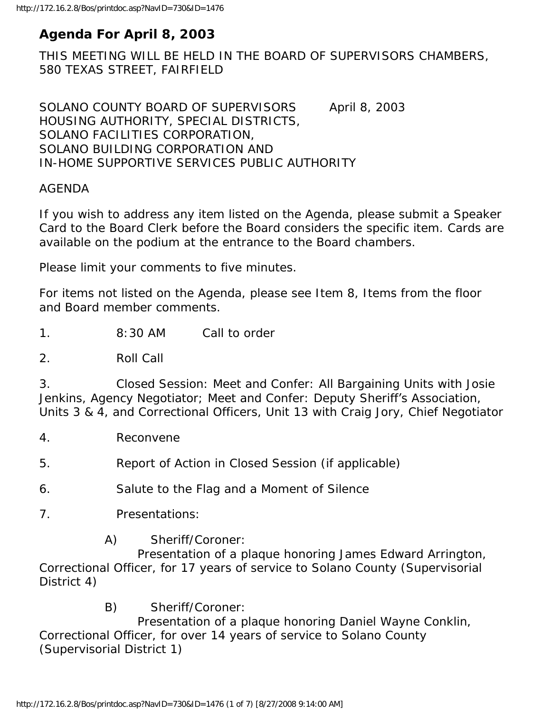# **Agenda For April 8, 2003**

THIS MEETING WILL BE HELD IN THE BOARD OF SUPERVISORS CHAMBERS, 580 TEXAS STREET, FAIRFIELD

SOLANO COUNTY BOARD OF SUPERVISORS April 8, 2003 HOUSING AUTHORITY, SPECIAL DISTRICTS, SOLANO FACILITIES CORPORATION, SOLANO BUILDING CORPORATION AND IN-HOME SUPPORTIVE SERVICES PUBLIC AUTHORITY

#### AGENDA

If you wish to address any item listed on the Agenda, please submit a Speaker Card to the Board Clerk before the Board considers the specific item. Cards are available on the podium at the entrance to the Board chambers.

Please limit your comments to five minutes.

For items not listed on the Agenda, please see Item 8, Items from the floor and Board member comments.

1. 8:30 AM Call to order

2. Roll Call

3. Closed Session: Meet and Confer: All Bargaining Units with Josie Jenkins, Agency Negotiator; Meet and Confer: Deputy Sheriff's Association, Units 3 & 4, and Correctional Officers, Unit 13 with Craig Jory, Chief Negotiator

4. Reconvene

5. Report of Action in Closed Session (if applicable)

6. Salute to the Flag and a Moment of Silence

- 7. Presentations:
	- A) Sheriff/Coroner:

 Presentation of a plaque honoring James Edward Arrington, Correctional Officer, for 17 years of service to Solano County (Supervisorial District 4)

B) Sheriff/Coroner:

 Presentation of a plaque honoring Daniel Wayne Conklin, Correctional Officer, for over 14 years of service to Solano County (Supervisorial District 1)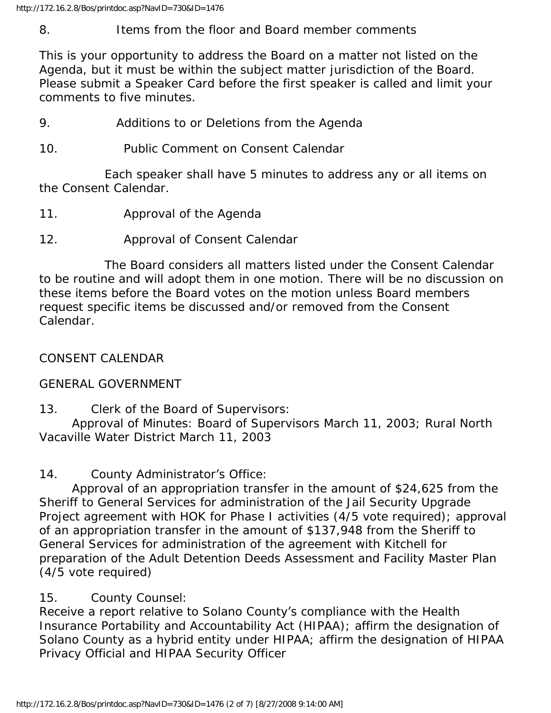#### 8. Items from the floor and Board member comments

This is your opportunity to address the Board on a matter not listed on the Agenda, but it must be within the subject matter jurisdiction of the Board. Please submit a Speaker Card before the first speaker is called and limit your comments to five minutes.

- 9. Additions to or Deletions from the Agenda
- 10. Public Comment on Consent Calendar

 Each speaker shall have 5 minutes to address any or all items on the Consent Calendar.

- 11. Approval of the Agenda
- 12. Approval of Consent Calendar

 The Board considers all matters listed under the Consent Calendar to be routine and will adopt them in one motion. There will be no discussion on these items before the Board votes on the motion unless Board members request specific items be discussed and/or removed from the Consent Calendar.

# CONSENT CALENDAR

## GENERAL GOVERNMENT

13. Clerk of the Board of Supervisors:

 Approval of Minutes: Board of Supervisors March 11, 2003; Rural North Vacaville Water District March 11, 2003

14. County Administrator's Office:

 Approval of an appropriation transfer in the amount of \$24,625 from the Sheriff to General Services for administration of the Jail Security Upgrade Project agreement with HOK for Phase I activities (4/5 vote required); approval of an appropriation transfer in the amount of \$137,948 from the Sheriff to General Services for administration of the agreement with Kitchell for preparation of the Adult Detention Deeds Assessment and Facility Master Plan (4/5 vote required)

# 15. County Counsel:

Receive a report relative to Solano County's compliance with the Health Insurance Portability and Accountability Act (HIPAA); affirm the designation of Solano County as a hybrid entity under HIPAA; affirm the designation of HIPAA Privacy Official and HIPAA Security Officer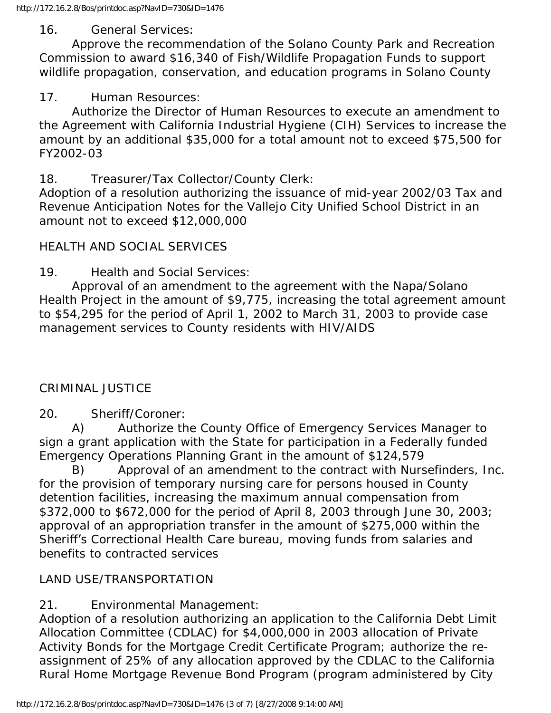#### 16. General Services:

 Approve the recommendation of the Solano County Park and Recreation Commission to award \$16,340 of Fish/Wildlife Propagation Funds to support wildlife propagation, conservation, and education programs in Solano County

### 17. Human Resources:

 Authorize the Director of Human Resources to execute an amendment to the Agreement with California Industrial Hygiene (CIH) Services to increase the amount by an additional \$35,000 for a total amount not to exceed \$75,500 for FY2002-03

### 18. Treasurer/Tax Collector/County Clerk:

Adoption of a resolution authorizing the issuance of mid-year 2002/03 Tax and Revenue Anticipation Notes for the Vallejo City Unified School District in an amount not to exceed \$12,000,000

### HEALTH AND SOCIAL SERVICES

19. Health and Social Services:

 Approval of an amendment to the agreement with the Napa/Solano Health Project in the amount of \$9,775, increasing the total agreement amount to \$54,295 for the period of April 1, 2002 to March 31, 2003 to provide case management services to County residents with HIV/AIDS

## CRIMINAL JUSTICE

## 20. Sheriff/Coroner:

 A) Authorize the County Office of Emergency Services Manager to sign a grant application with the State for participation in a Federally funded Emergency Operations Planning Grant in the amount of \$124,579

 B) Approval of an amendment to the contract with Nursefinders, Inc. for the provision of temporary nursing care for persons housed in County detention facilities, increasing the maximum annual compensation from \$372,000 to \$672,000 for the period of April 8, 2003 through June 30, 2003; approval of an appropriation transfer in the amount of \$275,000 within the Sheriff's Correctional Health Care bureau, moving funds from salaries and benefits to contracted services

## LAND USE/TRANSPORTATION

## 21. Environmental Management:

Adoption of a resolution authorizing an application to the California Debt Limit Allocation Committee (CDLAC) for \$4,000,000 in 2003 allocation of Private Activity Bonds for the Mortgage Credit Certificate Program; authorize the reassignment of 25% of any allocation approved by the CDLAC to the California Rural Home Mortgage Revenue Bond Program (program administered by City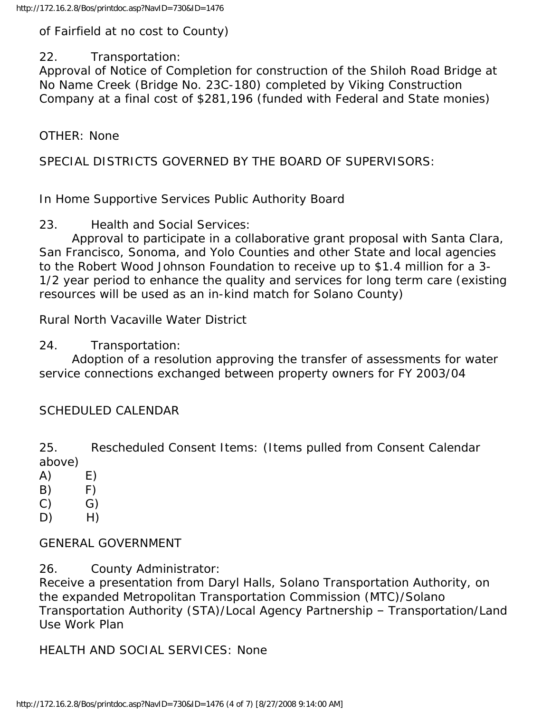of Fairfield at no cost to County)

### 22. Transportation:

Approval of Notice of Completion for construction of the Shiloh Road Bridge at No Name Creek (Bridge No. 23C-180) completed by Viking Construction Company at a final cost of \$281,196 (funded with Federal and State monies)

OTHER: None

SPECIAL DISTRICTS GOVERNED BY THE BOARD OF SUPERVISORS:

In Home Supportive Services Public Authority Board

23. Health and Social Services:

 Approval to participate in a collaborative grant proposal with Santa Clara, San Francisco, Sonoma, and Yolo Counties and other State and local agencies to the Robert Wood Johnson Foundation to receive up to \$1.4 million for a 3- 1/2 year period to enhance the quality and services for long term care (existing resources will be used as an in-kind match for Solano County)

Rural North Vacaville Water District

24. Transportation:

 Adoption of a resolution approving the transfer of assessments for water service connections exchanged between property owners for FY 2003/04

# SCHEDULED CALENDAR

25. Rescheduled Consent Items: (Items pulled from Consent Calendar above)

- $(A)$   $E)$
- $(B)$   $F)$
- $(C)$   $G)$
- $D)$  H)

GENERAL GOVERNMENT

26. County Administrator:

Receive a presentation from Daryl Halls, Solano Transportation Authority, on the expanded Metropolitan Transportation Commission (MTC)/Solano Transportation Authority (STA)/Local Agency Partnership – Transportation/Land Use Work Plan

HEALTH AND SOCIAL SERVICES: None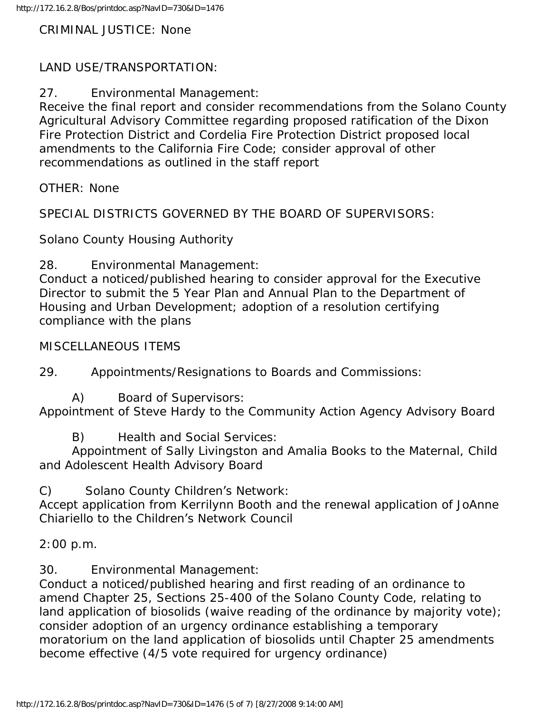CRIMINAL JUSTICE: None

## LAND USE/TRANSPORTATION:

27. Environmental Management:

Receive the final report and consider recommendations from the Solano County Agricultural Advisory Committee regarding proposed ratification of the Dixon Fire Protection District and Cordelia Fire Protection District proposed local amendments to the California Fire Code; consider approval of other recommendations as outlined in the staff report

OTHER: None

SPECIAL DISTRICTS GOVERNED BY THE BOARD OF SUPERVISORS:

Solano County Housing Authority

28. Environmental Management:

Conduct a noticed/published hearing to consider approval for the Executive Director to submit the 5 Year Plan and Annual Plan to the Department of Housing and Urban Development; adoption of a resolution certifying compliance with the plans

MISCELLANEOUS ITEMS

29. Appointments/Resignations to Boards and Commissions:

A) Board of Supervisors:

Appointment of Steve Hardy to the Community Action Agency Advisory Board

B) Health and Social Services:

 Appointment of Sally Livingston and Amalia Books to the Maternal, Child and Adolescent Health Advisory Board

C) Solano County Children's Network:

Accept application from Kerrilynn Booth and the renewal application of JoAnne Chiariello to the Children's Network Council

2:00 p.m.

30. Environmental Management:

Conduct a noticed/published hearing and first reading of an ordinance to amend Chapter 25, Sections 25-400 of the Solano County Code, relating to land application of biosolids (waive reading of the ordinance by majority vote); consider adoption of an urgency ordinance establishing a temporary moratorium on the land application of biosolids until Chapter 25 amendments become effective (4/5 vote required for urgency ordinance)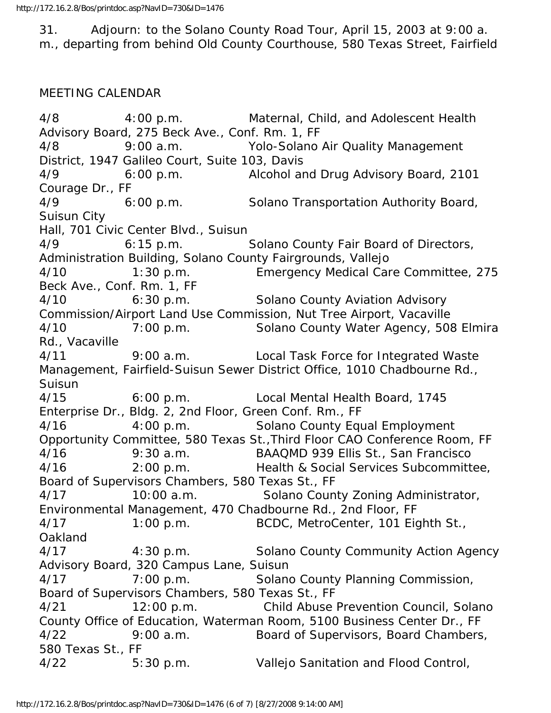31. Adjourn: to the Solano County Road Tour, April 15, 2003 at 9:00 a. m., departing from behind Old County Courthouse, 580 Texas Street, Fairfield

#### MEETING CALENDAR

4/8 4:00 p.m. Maternal, Child, and Adolescent Health Advisory Board, 275 Beck Ave., Conf. Rm. 1, FF 4/8 9:00 a.m. Yolo-Solano Air Quality Management District, 1947 Galileo Court, Suite 103, Davis 4/9 6:00 p.m. Alcohol and Drug Advisory Board, 2101 Courage Dr., FF 4/9 6:00 p.m. Solano Transportation Authority Board, Suisun City Hall, 701 Civic Center Blvd., Suisun 4/9 6:15 p.m. Solano County Fair Board of Directors, Administration Building, Solano County Fairgrounds, Vallejo 4/10 1:30 p.m. Emergency Medical Care Committee, 275 Beck Ave., Conf. Rm. 1, FF 4/10 6:30 p.m. Solano County Aviation Advisory Commission/Airport Land Use Commission, Nut Tree Airport, Vacaville 4/10 7:00 p.m. Solano County Water Agency, 508 Elmira Rd., Vacaville 4/11 9:00 a.m. Local Task Force for Integrated Waste Management, Fairfield-Suisun Sewer District Office, 1010 Chadbourne Rd., Suisun 4/15 6:00 p.m. Local Mental Health Board, 1745 Enterprise Dr., Bldg. 2, 2nd Floor, Green Conf. Rm., FF 4/16 4:00 p.m. Solano County Equal Employment Opportunity Committee, 580 Texas St.,Third Floor CAO Conference Room, FF 4/16 9:30 a.m. BAAQMD 939 Ellis St., San Francisco 4/16 2:00 p.m. Health & Social Services Subcommittee, Board of Supervisors Chambers, 580 Texas St., FF 4/17 10:00 a.m. Solano County Zoning Administrator, Environmental Management, 470 Chadbourne Rd., 2nd Floor, FF 4/17 1:00 p.m. BCDC, MetroCenter, 101 Eighth St., Oakland 4/17 4:30 p.m. Solano County Community Action Agency Advisory Board, 320 Campus Lane, Suisun 4/17 7:00 p.m. Solano County Planning Commission, Board of Supervisors Chambers, 580 Texas St., FF 4/21 12:00 p.m. Child Abuse Prevention Council, Solano County Office of Education, Waterman Room, 5100 Business Center Dr., FF 4/22 9:00 a.m. Board of Supervisors, Board Chambers, 580 Texas St., FF 4/22 5:30 p.m. Vallejo Sanitation and Flood Control,